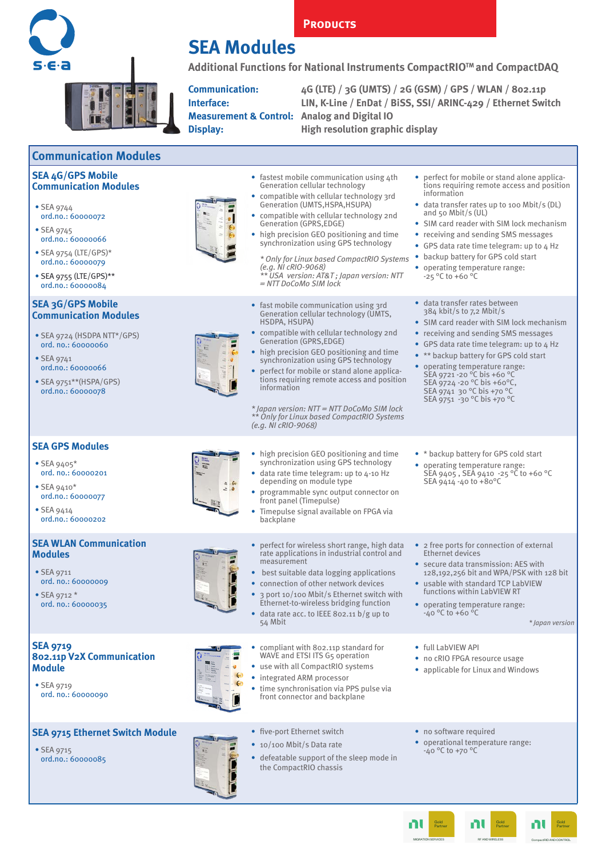

**Communication Modules**

## **SEA Modules**

**Additional Functions for National Instruments CompactRIOTM and CompactDAQ** 

**PRODUCTS** 

**Measurement & Control: Analog and Digital IO**

**Communication: 4G (LTE) / 3G (UMTS) / 2G (GSM) / GPS / WLAN / 802.11p Interface: LIN, K-Line / EnDat / BiSS, SSI/ ARINC-429 / Ethernet Switch**

> RF AND WIRELESS Gold Partner

пl

MIGRATION SERVICES Gold Partner

пU

CompactRIO AND CONTROL Gold Partner

nt

**Display: High resolution graphic display**

| <b>SEA 4G/GPS Mobile</b><br><b>Communication Modules</b><br>$\bullet$ SEA 9744<br>ord.no.: 60000072<br>• SEA 9745<br>ord.no.: 60000066<br>• SEA 9754 (LTE/GPS)*<br>ord.no.: 60000079<br>$\bullet$ SEA 9755 (LTE/GPS)**                       |                     | • fastest mobile communication using 4th<br>Generation cellular technology<br>• compatible with cellular technology 3rd<br>Generation (UMTS, HSPA, HSUPA)<br>• compatible with cellular technology 2nd<br><b>Generation (GPRS,EDGE)</b><br>• high precision GEO positioning and time<br>synchronization using GPS technology<br>* Only for Linux based CompactRIO Systems<br>$(e.g. \ NI \ CRIO - 9068)$<br>** USA version: AT&T Japan version: NTT                                                                      | • perfect for mobile or stand alone applica-<br>tions requiring remote access and position<br>information<br>• data transfer rates up to 100 Mbit/s (DL)<br>and 50 Mbit/s $(UL)$<br>• SIM card reader with SIM lock mechanism<br>• receiving and sending SMS messages<br>• GPS data rate time telegram: up to 4 Hz<br>• backup battery for GPS cold start<br>• operating temperature range:<br>$-25$ °C to +60 °C |
|----------------------------------------------------------------------------------------------------------------------------------------------------------------------------------------------------------------------------------------------|---------------------|--------------------------------------------------------------------------------------------------------------------------------------------------------------------------------------------------------------------------------------------------------------------------------------------------------------------------------------------------------------------------------------------------------------------------------------------------------------------------------------------------------------------------|-------------------------------------------------------------------------------------------------------------------------------------------------------------------------------------------------------------------------------------------------------------------------------------------------------------------------------------------------------------------------------------------------------------------|
| ord.no.: 60000084<br><b>SEA 3G/GPS Mobile</b><br><b>Communication Modules</b><br>$\bullet$ SEA 9724 (HSDPA NTT*/GPS)<br>ord. no.: 60000060<br>$\bullet$ SEA 9741<br>ord.no.: 60000066<br>$\bullet$ SEA 9751**(HSPA/GPS)<br>ord.no.: 60000078 |                     | $= NTT$ DoCoMo SIM lock<br>• fast mobile communication using 3rd<br>Generation cellular technology (UMTS,<br>HSDPA, HSUPA)<br>• compatible with cellular technology 2nd<br>Generation (GPRS, EDGE)<br>• high precision GEO positioning and time<br>synchronization using GPS technology<br>• perfect for mobile or stand alone applica-<br>tions requiring remote access and position<br>information<br>$*$ Japan version: $NT = NTDoCoMo SIM lock$<br>** Only for Linux based CompactRIO Systems<br>(e.g. NI cRIO-9068) | · data transfer rates between<br>384 kbit/s to 7,2 Mbit/s<br>• SIM card reader with SIM lock mechanism<br>• receiving and sending SMS messages<br>• GPS data rate time telegram: up to 4 Hz<br>• ** backup battery for GPS cold start<br>• operating temperature range:<br>SEA 9721-20 °C bis +60 °C<br>SEA 9724 -20 °C bis +60°C,<br>SEA 9741 30 °C bis +70 °C<br>SEA 9751 -30 °C bis +70 °C                     |
| <b>SEA GPS Modules</b><br>$\bullet$ SEA 9405*<br>ord. no.: 60000201<br>$\bullet$ SEA 9410*<br>ord.no.: 60000077<br>$\bullet$ SEA 9414<br>ord.no.: 60000202                                                                                   | $2 - 60$<br>$2 - 0$ | . high precision GEO positioning and time<br>synchronization using GPS technology<br>· data rate time telegram: up to 4-10 Hz<br>depending on module type<br>• programmable sync output connector on<br>front panel (Timepulse)<br>Timepulse signal available on FPGA via<br>backplane                                                                                                                                                                                                                                   | • * backup battery for GPS cold start<br>• operating temperature range:<br>SEA 9405, SEA 9410 -25 °C to +60 °C<br>SEA 9414 -40 to +80°C                                                                                                                                                                                                                                                                           |
| <b>SEA WLAN Communication</b><br><b>Modules</b><br>• SEA 9711<br>ord. no.: 60000009<br>• SEA 9712 $*$<br>ord. no.: 60000035                                                                                                                  |                     | • perfect for wireless short range, high data<br>rate applications in industrial control and<br>measurement<br>• best suitable data logging applications<br>• connection of other network devices<br>• 3 port 10/100 Mbit/s Ethernet switch with<br>Ethernet-to-wireless bridging function<br>• data rate acc. to IEEE 802.11 $b/g$ up to<br>54 Mbit                                                                                                                                                                     | • 2 free ports for connection of external<br>Ethernet devices<br>• secure data transmission: AES with<br>128,192,256 bit and WPA/PSK with 128 bit<br>• usable with standard TCP LabVIEW<br>functions within LabVIEW RT<br>• operating temperature range:<br>$-40 °C$ to $+60 °C$<br>* Japan version                                                                                                               |
| <b>SEA 9719</b><br><b>802.11p V2X Communication</b><br><b>Module</b><br>$\bullet$ SEA 9719<br>ord. no.: 60000090                                                                                                                             |                     | • compliant with 802.11p standard for<br>WAVE and ETSI ITS G5 operation<br>• use with all CompactRIO systems<br>• integrated ARM processor<br>· time synchronisation via PPS pulse via<br>front connector and backplane                                                                                                                                                                                                                                                                                                  | • full LabVIFW API<br>• no cRIO FPGA resource usage<br>• applicable for Linux and Windows                                                                                                                                                                                                                                                                                                                         |
| <b>SEA 9715 Ethernet Switch Module</b><br>$\bullet$ SEA 9715<br>ord.no.: 60000085                                                                                                                                                            |                     | • five-port Ethernet switch<br>• 10/100 Mbit/s Data rate<br>• defeatable support of the sleep mode in<br>the CompactRIO chassis                                                                                                                                                                                                                                                                                                                                                                                          | • no software required<br>• operational temperature range:<br>$-40 °C$ to $+70 °C$                                                                                                                                                                                                                                                                                                                                |